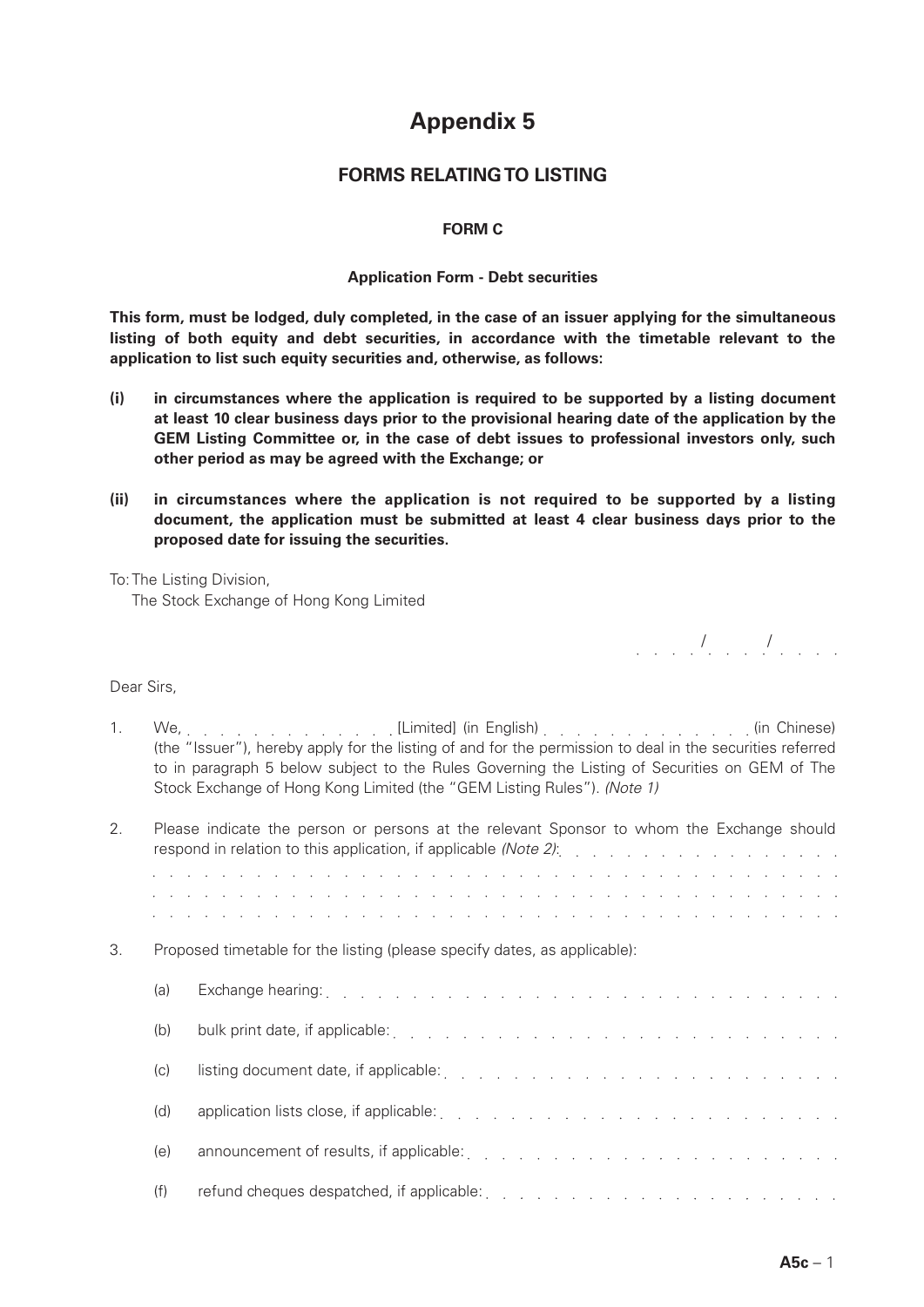# **Appendix 5**

## **FORMS RELATING TO LISTING**

### **FORM C**

#### **Application Form - Debt securities**

**This form, must be lodged, duly completed, in the case of an issuer applying for the simultaneous listing of both equity and debt securities, in accordance with the timetable relevant to the application to list such equity securities and, otherwise, as follows:**

- **(i) in circumstances where the application is required to be supported by a listing document at least 10 clear business days prior to the provisional hearing date of the application by the GEM Listing Committee or, in the case of debt issues to professional investors only, such other period as may be agreed with the Exchange; or**
- **(ii) in circumstances where the application is not required to be supported by a listing document, the application must be submitted at least 4 clear business days prior to the proposed date for issuing the securities.**

To: The Listing Division, The Stock Exchange of Hong Kong Limited

/ /

#### Dear Sirs,

1. We, . . . . . . . . . . . . . [Limited] (in English) [1] . . . . . . . . . . . . . . (in Chinese) (the "Issuer"), hereby apply for the listing of and for the permission to deal in the securities referred to in paragraph 5 below subject to the Rules Governing the Listing of Securities on GEM of The Stock Exchange of Hong Kong Limited (the "GEM Listing Rules"). *(Note 1)*

| 2. |     | Please indicate the person or persons at the relevant Sponsor to whom the Exchange should<br>respond in relation to this application, if applicable (Note 2): with the content of the content of the content                          |
|----|-----|---------------------------------------------------------------------------------------------------------------------------------------------------------------------------------------------------------------------------------------|
|    |     | الجلوان والمراجع والمراجع والمراجع والمراجع والمراجع والمراجع والمراجع والمراجع والمراجع والمراجع والمراجع والمراجع<br>a constitución de la característica de la característica de la característica de la característica de la carac |
|    |     | a constitución de la característica de la característica de la característica de la característica de la carac                                                                                                                        |
| 3. |     | Proposed timetable for the listing (please specify dates, as applicable):                                                                                                                                                             |
|    | (a) | Exchange hearing: The Review Process of the Review Process of the Review Process of the Review Process of the Review Process of the Review Process of the Review Process of the Review Process of the Review Process of the Re        |
|    | (b) |                                                                                                                                                                                                                                       |
|    | (c) |                                                                                                                                                                                                                                       |
|    | (d) | application lists close, if applicable: enterprise and and all the contract of the contract of the contract of                                                                                                                        |
|    | (e) |                                                                                                                                                                                                                                       |
|    | (f) |                                                                                                                                                                                                                                       |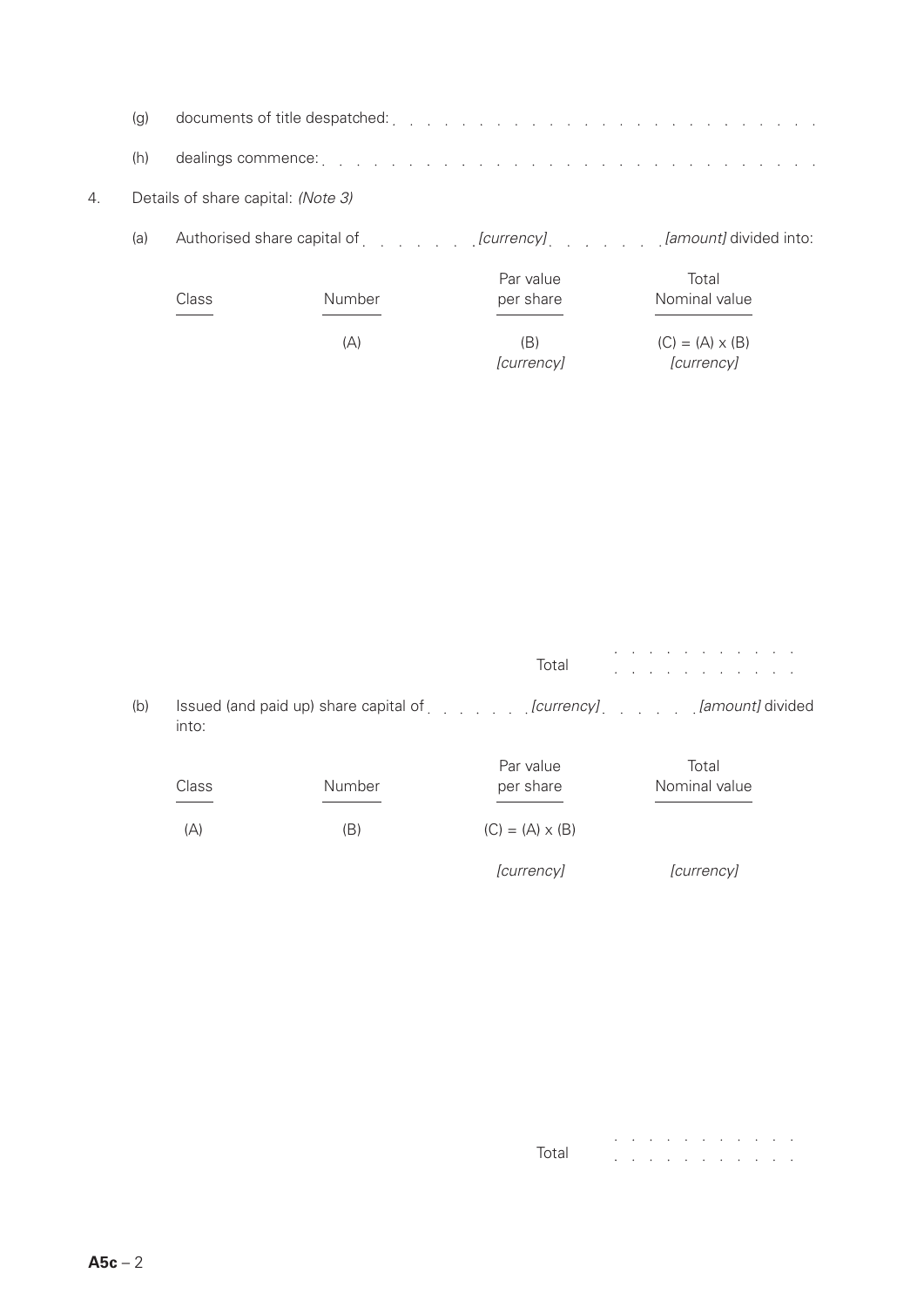| (a) |                                                                                                                           |
|-----|---------------------------------------------------------------------------------------------------------------------------|
|     | (h) dealings commence: $\ldots$ $\ldots$ $\ldots$ $\ldots$ $\ldots$ $\ldots$ $\ldots$ $\ldots$ $\ldots$ $\ldots$ $\ldots$ |

## 4. Details of share capital: *(Note 3)*

(a) Authorised share capital of *[currency] [amount]* divided into:

| Class | Number | Par value<br>per share | Total<br>Nominal value               |  |  |  |  |  |
|-------|--------|------------------------|--------------------------------------|--|--|--|--|--|
|       | (A)    | (B)<br>[currency]      | $(C) = (A) \times (B)$<br>[currency] |  |  |  |  |  |

Total  $\mathcal{L}^{\mathcal{A}}$  , where  $\mathcal{L}^{\mathcal{A}}$  is the contribution of the  $\mathcal{L}^{\mathcal{A}}$ 

(b) Issued (and paid up) share capital of *[currency] [amount]* divided into:

| Class | Number | Par value<br>per share | Total<br>Nominal value |
|-------|--------|------------------------|------------------------|
| (A)   | (B)    | $(C) = (A) \times (B)$ |                        |
|       |        | [currency]             | [currency]             |

|       |  |  | . |  |  |  |
|-------|--|--|---|--|--|--|
| Total |  |  | . |  |  |  |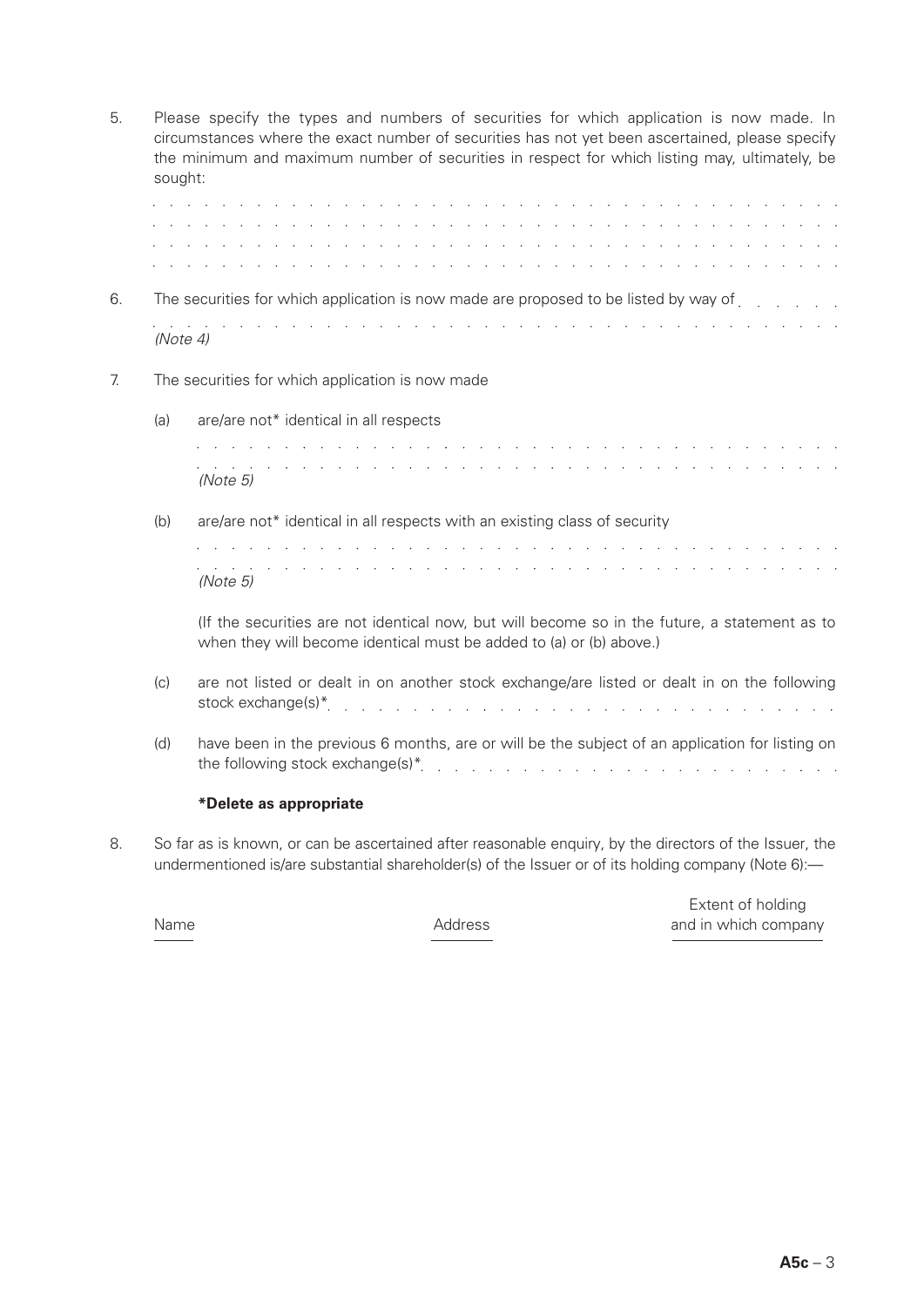| 5. |                                                                                      | Please specify the types and numbers of securities for which application is now made. In<br>circumstances where the exact number of securities has not yet been ascertained, please specify<br>the minimum and maximum number of securities in respect for which listing may, ultimately, be<br>sought:                                                                                                                                                                |  |  |  |  |  |  |  |  |  |  |  |  |  |  |
|----|--------------------------------------------------------------------------------------|------------------------------------------------------------------------------------------------------------------------------------------------------------------------------------------------------------------------------------------------------------------------------------------------------------------------------------------------------------------------------------------------------------------------------------------------------------------------|--|--|--|--|--|--|--|--|--|--|--|--|--|--|
|    |                                                                                      | and the company of the company of the company of the company of the company of the company of the company of the<br>the contract of the contract of the contract of the contract of the contract of the contract of the contract of                                                                                                                                                                                                                                    |  |  |  |  |  |  |  |  |  |  |  |  |  |  |
|    |                                                                                      | <b>Contract Contract Contract</b>                                                                                                                                                                                                                                                                                                                                                                                                                                      |  |  |  |  |  |  |  |  |  |  |  |  |  |  |
|    |                                                                                      | and the contract of the contract of the contract of the contract of the contract of the contract of the contract of the contract of the contract of the contract of the contract of the contract of the contract of the contra<br><u>in the second contract of the second contract of the second contract of the second contract of the second contract of the second contract of the second contract of the second contract of the second contract of the second </u> |  |  |  |  |  |  |  |  |  |  |  |  |  |  |
| 6. | The securities for which application is now made are proposed to be listed by way of |                                                                                                                                                                                                                                                                                                                                                                                                                                                                        |  |  |  |  |  |  |  |  |  |  |  |  |  |  |
|    | (Note 4)                                                                             | and the second contract of the contract of the contract of the contract of the contract of the contract of the                                                                                                                                                                                                                                                                                                                                                         |  |  |  |  |  |  |  |  |  |  |  |  |  |  |
| 7. |                                                                                      | The securities for which application is now made                                                                                                                                                                                                                                                                                                                                                                                                                       |  |  |  |  |  |  |  |  |  |  |  |  |  |  |
|    | (a)                                                                                  | are/are not* identical in all respects                                                                                                                                                                                                                                                                                                                                                                                                                                 |  |  |  |  |  |  |  |  |  |  |  |  |  |  |
|    |                                                                                      | and the second contract of the second contract of the second contract of the second<br>the second contract of the second contract of the second contract of the second contract of the second contract of the second contract of the second contract of the second contract of the second contract of the second cont<br><b>Carl Corporation</b><br>and the company of the state of the<br>(Note 5)                                                                    |  |  |  |  |  |  |  |  |  |  |  |  |  |  |
|    | (b)                                                                                  | are/are not* identical in all respects with an existing class of security                                                                                                                                                                                                                                                                                                                                                                                              |  |  |  |  |  |  |  |  |  |  |  |  |  |  |
|    |                                                                                      | $\mathbf{r}$ , and $\mathbf{r}$ , and $\mathbf{r}$ , and $\mathbf{r}$ , and $\mathbf{r}$ , and $\mathbf{r}$<br>and the second contract of the second contract of the second contract of the second contract of the second contract of the second contract of the second contract of the second contract of the second contract of the second<br>(Note 5)                                                                                                               |  |  |  |  |  |  |  |  |  |  |  |  |  |  |
|    |                                                                                      | (If the securities are not identical now, but will become so in the future, a statement as to<br>when they will become identical must be added to (a) or (b) above.)                                                                                                                                                                                                                                                                                                   |  |  |  |  |  |  |  |  |  |  |  |  |  |  |
|    | (c)                                                                                  | are not listed or dealt in on another stock exchange/are listed or dealt in on the following<br>stock exchange(s)*<br>والمتعاون والمتعاون والمتعاون والمتعاون والمتعاونة والمتعاونة والمتعاونة والمتعاونة والمتعاونة والمتعاونة                                                                                                                                                                                                                                        |  |  |  |  |  |  |  |  |  |  |  |  |  |  |
|    | (d)                                                                                  | have been in the previous 6 months, are or will be the subject of an application for listing on<br>the following stock exchange(s)* $\ldots$ $\ldots$ $\ldots$ $\ldots$ $\ldots$ $\ldots$ $\ldots$                                                                                                                                                                                                                                                                     |  |  |  |  |  |  |  |  |  |  |  |  |  |  |
|    |                                                                                      | *Delete as appropriate                                                                                                                                                                                                                                                                                                                                                                                                                                                 |  |  |  |  |  |  |  |  |  |  |  |  |  |  |
|    |                                                                                      |                                                                                                                                                                                                                                                                                                                                                                                                                                                                        |  |  |  |  |  |  |  |  |  |  |  |  |  |  |

8. So far as is known, or can be ascertained after reasonable enquiry, by the directors of the Issuer, the undermentioned is/are substantial shareholder(s) of the Issuer or of its holding company (Note 6):-

 Extent of holding Name **Address** Address and in which company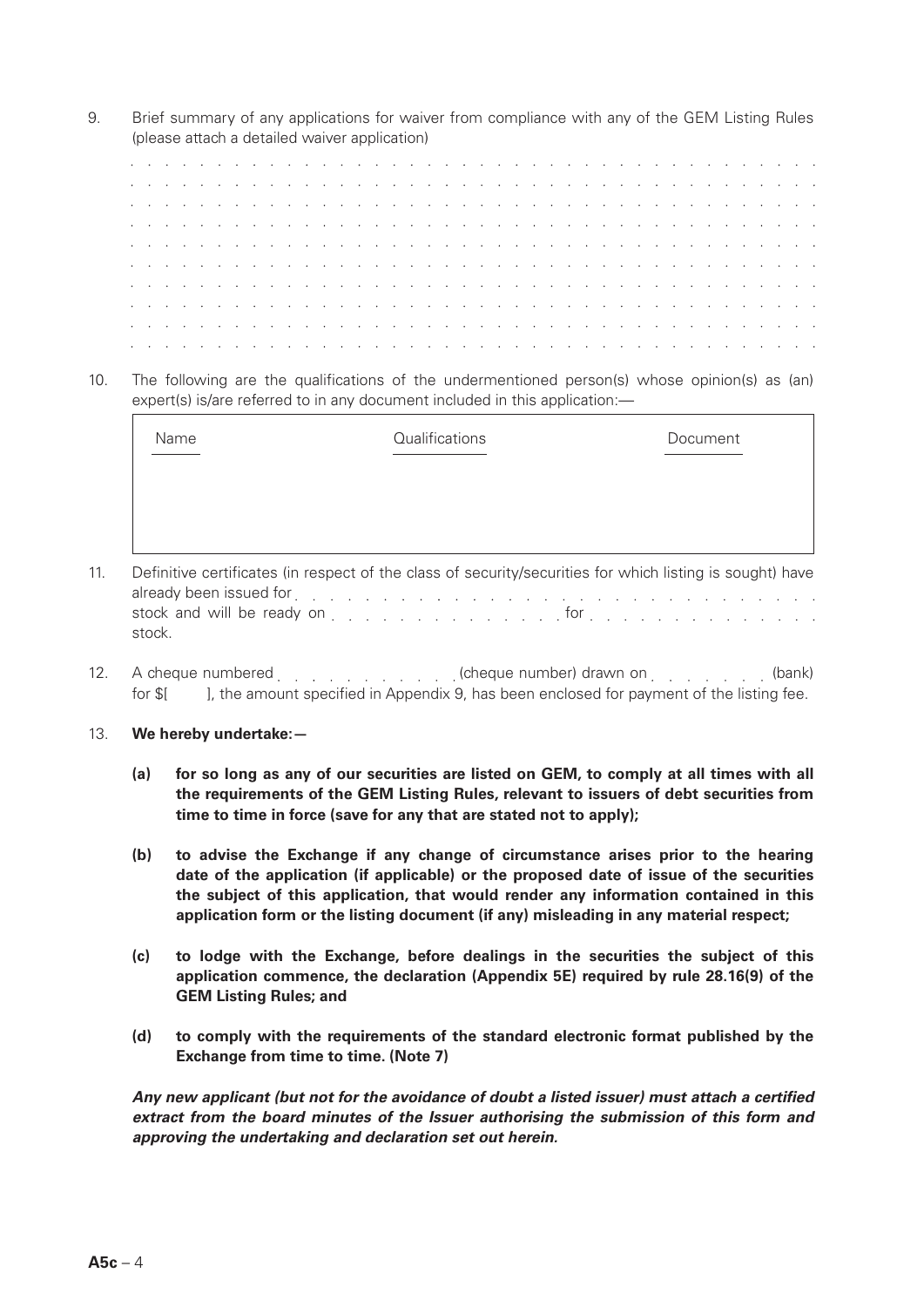9. Brief summary of any applications for waiver from compliance with any of the GEM Listing Rules (please attach a detailed waiver application)

|  |  |  |  |  |  |  |  |  |  |  |  |  |  |  |  |  |  | a carra carra carra carra carra carra carra carra carra carra carra carra carra carra carra carra carra car        |  |
|--|--|--|--|--|--|--|--|--|--|--|--|--|--|--|--|--|--|--------------------------------------------------------------------------------------------------------------------|--|
|  |  |  |  |  |  |  |  |  |  |  |  |  |  |  |  |  |  | a carra carra carra carra carra carra carra carra carra carra carra carra carra carra carra carra carra cara       |  |
|  |  |  |  |  |  |  |  |  |  |  |  |  |  |  |  |  |  | a carra carra carra carra carra carra carra carra carra carra carra carra carra carra carra carra carra cara       |  |
|  |  |  |  |  |  |  |  |  |  |  |  |  |  |  |  |  |  |                                                                                                                    |  |
|  |  |  |  |  |  |  |  |  |  |  |  |  |  |  |  |  |  | a carracter and a carracter and a carracter and a carracter and a carracter and a carracter and a carracter a      |  |
|  |  |  |  |  |  |  |  |  |  |  |  |  |  |  |  |  |  | a carracter and carracter and carracter and carracter and carracter and carracter and carracter and carracter      |  |
|  |  |  |  |  |  |  |  |  |  |  |  |  |  |  |  |  |  | a construction of the construction of the construction of the construction of the construction of the construction |  |
|  |  |  |  |  |  |  |  |  |  |  |  |  |  |  |  |  |  | the contract of the contract of the contract of the contract of the contract of the contract of the contract of    |  |
|  |  |  |  |  |  |  |  |  |  |  |  |  |  |  |  |  |  | a carracter and carracter and carracter and carracter and carracter and carracter and carracter and carracter      |  |
|  |  |  |  |  |  |  |  |  |  |  |  |  |  |  |  |  |  |                                                                                                                    |  |

10. The following are the qualifications of the undermentioned person(s) whose opinion(s) as (an) expert(s) is/are referred to in any document included in this application:-

| Name | Qualifications | Document |
|------|----------------|----------|
|      |                |          |
|      |                |          |
|      |                |          |

- 11. Definitive certificates (in respect of the class of security/securities for which listing is sought) have already been issued for entering to the contract of the contract of the contract of the contract of the contract of the contract of the contract of the contract of the contract of the contract of the contract of the contra stock and will be ready on  $\ldots$   $\ldots$   $\ldots$   $\ldots$   $\ldots$   $\ldots$  for  $\ldots$   $\ldots$   $\ldots$   $\ldots$   $\ldots$   $\ldots$ stock.
- 12. A cheque numbered entitled and cheque number) drawn on entitled the metal (bank) for \$[  $\blacksquare$ ], the amount specified in Appendix 9, has been enclosed for payment of the listing fee.
- 13. **We hereby undertake:—**
	- **(a) for so long as any of our securities are listed on GEM, to comply at all times with all the requirements of the GEM Listing Rules, relevant to issuers of debt securities from time to time in force (save for any that are stated not to apply);**
	- **(b) to advise the Exchange if any change of circumstance arises prior to the hearing date of the application (if applicable) or the proposed date of issue of the securities the subject of this application, that would render any information contained in this application form or the listing document (if any) misleading in any material respect;**
	- **(c) to lodge with the Exchange, before dealings in the securities the subject of this application commence, the declaration (Appendix 5E) required by rule 28.16(9) of the GEM Listing Rules; and**
	- **(d) to comply with the requirements of the standard electronic format published by the Exchange from time to time. (Note 7)**

*Any new applicant (but not for the avoidance of doubt a listed issuer) must attach a certified extract from the board minutes of the Issuer authorising the submission of this form and approving the undertaking and declaration set out herein.*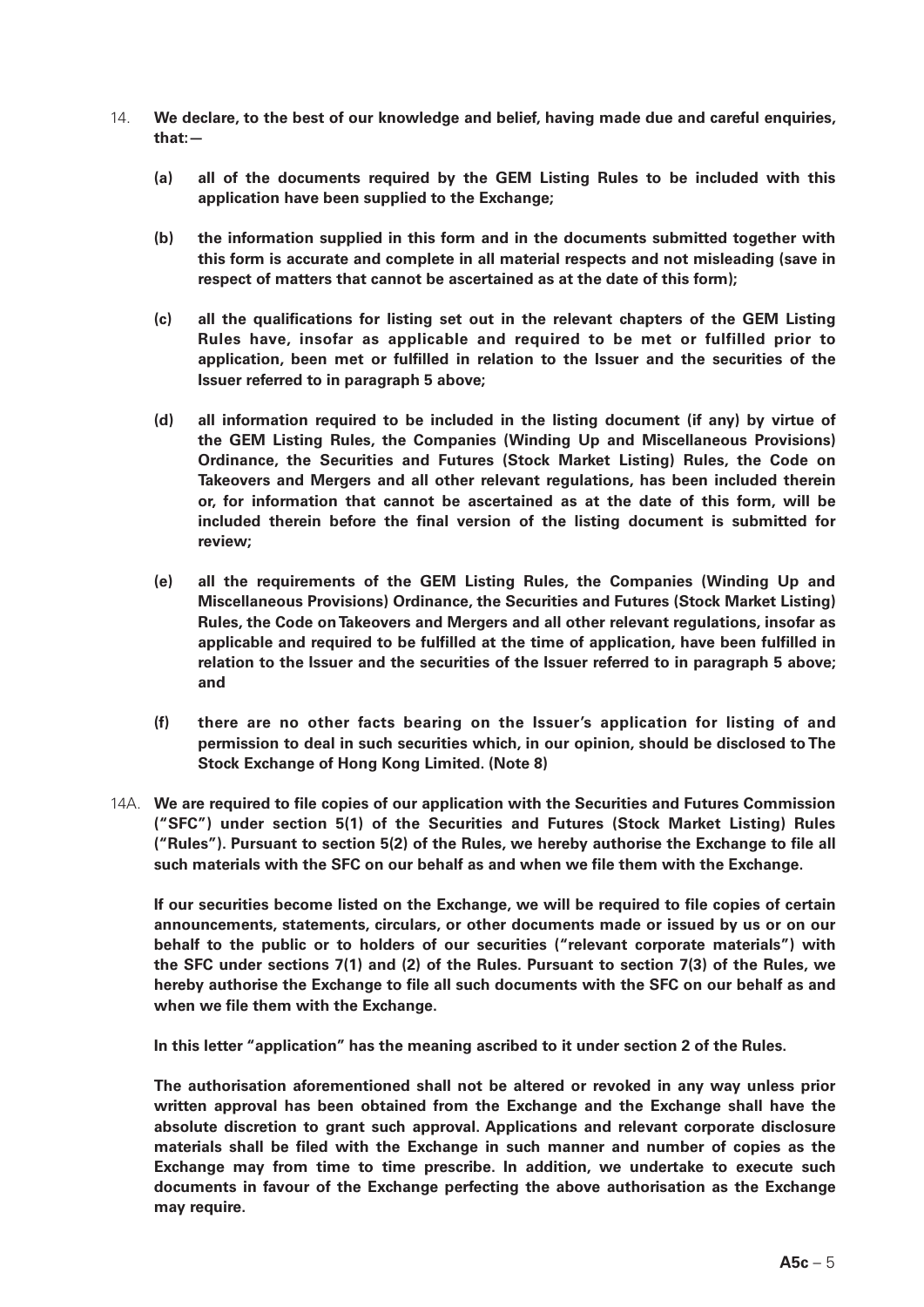- 14. **We declare, to the best of our knowledge and belief, having made due and careful enquiries, that:—**
	- **(a) all of the documents required by the GEM Listing Rules to be included with this application have been supplied to the Exchange;**
	- **(b) the information supplied in this form and in the documents submitted together with this form is accurate and complete in all material respects and not misleading (save in respect of matters that cannot be ascertained as at the date of this form);**
	- **(c) all the qualifications for listing set out in the relevant chapters of the GEM Listing Rules have, insofar as applicable and required to be met or fulfilled prior to application, been met or fulfilled in relation to the Issuer and the securities of the Issuer referred to in paragraph 5 above;**
	- **(d) all information required to be included in the listing document (if any) by virtue of the GEM Listing Rules, the Companies (Winding Up and Miscellaneous Provisions) Ordinance, the Securities and Futures (Stock Market Listing) Rules, the Code on Takeovers and Mergers and all other relevant regulations, has been included therein or, for information that cannot be ascertained as at the date of this form, will be included therein before the final version of the listing document is submitted for review;**
	- **(e) all the requirements of the GEM Listing Rules, the Companies (Winding Up and Miscellaneous Provisions) Ordinance, the Securities and Futures (Stock Market Listing) Rules, the Code on Takeovers and Mergers and all other relevant regulations, insofar as applicable and required to be fulfilled at the time of application, have been fulfilled in relation to the Issuer and the securities of the Issuer referred to in paragraph 5 above; and**
	- **(f) there are no other facts bearing on the Issuer's application for listing of and permission to deal in such securities which, in our opinion, should be disclosed to The Stock Exchange of Hong Kong Limited. (Note 8)**
- 14A. **We are required to file copies of our application with the Securities and Futures Commission ("SFC") under section 5(1) of the Securities and Futures (Stock Market Listing) Rules ("Rules"). Pursuant to section 5(2) of the Rules, we hereby authorise the Exchange to file all such materials with the SFC on our behalf as and when we file them with the Exchange.**

**If our securities become listed on the Exchange, we will be required to file copies of certain announcements, statements, circulars, or other documents made or issued by us or on our behalf to the public or to holders of our securities ("relevant corporate materials") with the SFC under sections 7(1) and (2) of the Rules. Pursuant to section 7(3) of the Rules, we hereby authorise the Exchange to file all such documents with the SFC on our behalf as and when we file them with the Exchange.**

**In this letter "application" has the meaning ascribed to it under section 2 of the Rules.**

**The authorisation aforementioned shall not be altered or revoked in any way unless prior written approval has been obtained from the Exchange and the Exchange shall have the absolute discretion to grant such approval. Applications and relevant corporate disclosure materials shall be filed with the Exchange in such manner and number of copies as the Exchange may from time to time prescribe. In addition, we undertake to execute such documents in favour of the Exchange perfecting the above authorisation as the Exchange may require.**